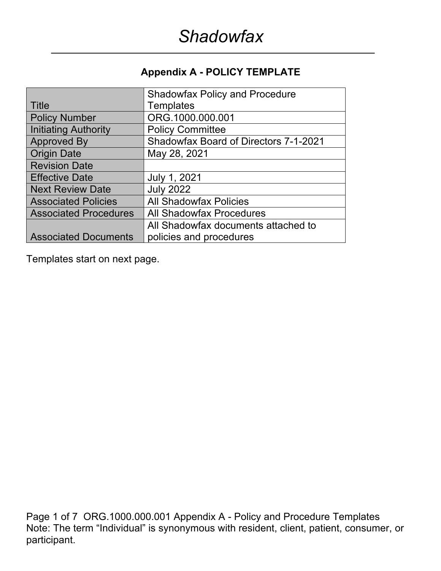## **Appendix A - POLICY TEMPLATE**

|                              | <b>Shadowfax Policy and Procedure</b>        |
|------------------------------|----------------------------------------------|
| Title                        | <b>Templates</b>                             |
| <b>Policy Number</b>         | ORG.1000.000.001                             |
| Initiating Authority         | <b>Policy Committee</b>                      |
| <b>Approved By</b>           | <b>Shadowfax Board of Directors 7-1-2021</b> |
| <b>Origin Date</b>           | May 28, 2021                                 |
| <b>Revision Date</b>         |                                              |
| <b>Effective Date</b>        | July 1, 2021                                 |
| <b>Next Review Date</b>      | <b>July 2022</b>                             |
| <b>Associated Policies</b>   | <b>All Shadowfax Policies</b>                |
| <b>Associated Procedures</b> | <b>All Shadowfax Procedures</b>              |
|                              | All Shadowfax documents attached to          |
| <b>Associated Documents</b>  | policies and procedures                      |

Templates start on next page.

Page 1 of 7 ORG.1000.000.001 Appendix A - Policy and Procedure Templates Note: The term "Individual" is synonymous with resident, client, patient, consumer, or participant.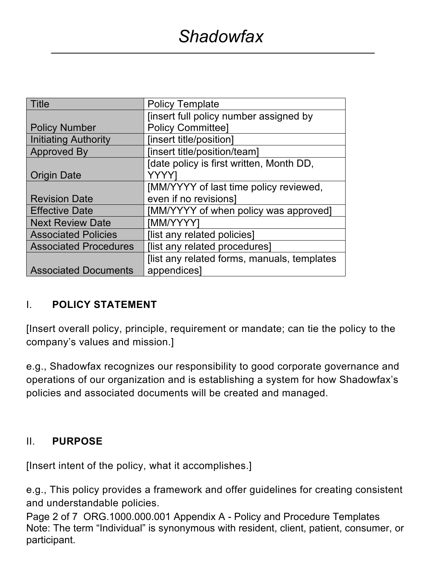| <b>Title</b>                 | <b>Policy Template</b>                      |
|------------------------------|---------------------------------------------|
|                              | finsert full policy number assigned by      |
| <b>Policy Number</b>         | <b>Policy Committee]</b>                    |
| <b>Initiating Authority</b>  | [insert title/position]                     |
| <b>Approved By</b>           | [insert title/position/team]                |
|                              | Idate policy is first written, Month DD,    |
| <b>Origin Date</b>           | YYYY                                        |
|                              | [MM/YYYY of last time policy reviewed,      |
| <b>Revision Date</b>         | even if no revisions]                       |
| <b>Effective Date</b>        | [MM/YYYY of when policy was approved]       |
| <b>Next Review Date</b>      | [MM/YYYY]                                   |
| <b>Associated Policies</b>   | [list any related policies]                 |
| <b>Associated Procedures</b> | [list any related procedures]               |
|                              | [list any related forms, manuals, templates |
| <b>Associated Documents</b>  | appendices]                                 |

## I. **POLICY STATEMENT**

[Insert overall policy, principle, requirement or mandate; can tie the policy to the company's values and mission.]

e.g., Shadowfax recognizes our responsibility to good corporate governance and operations of our organization and is establishing a system for how Shadowfax's policies and associated documents will be created and managed.

## II. **PURPOSE**

[Insert intent of the policy, what it accomplishes.]

e.g., This policy provides a framework and offer guidelines for creating consistent and understandable policies.

Page 2 of 7 ORG.1000.000.001 Appendix A - Policy and Procedure Templates Note: The term "Individual" is synonymous with resident, client, patient, consumer, or participant.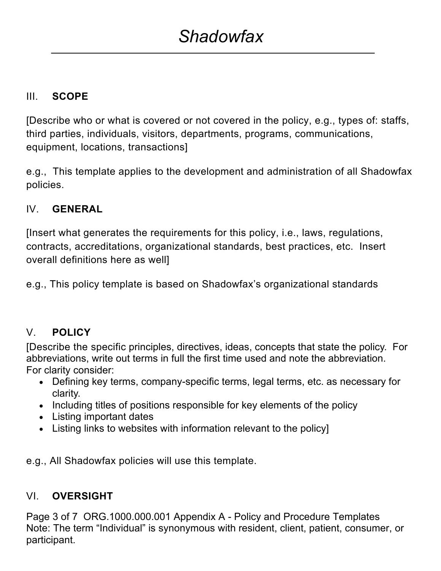## III. **SCOPE**

[Describe who or what is covered or not covered in the policy, e.g., types of: staffs, third parties, individuals, visitors, departments, programs, communications, equipment, locations, transactions]

e.g., This template applies to the development and administration of all Shadowfax policies.

## IV. **GENERAL**

[Insert what generates the requirements for this policy, i.e., laws, regulations, contracts, accreditations, organizational standards, best practices, etc. Insert overall definitions here as well]

e.g., This policy template is based on Shadowfax's organizational standards

## V. **POLICY**

[Describe the specific principles, directives, ideas, concepts that state the policy. For abbreviations, write out terms in full the first time used and note the abbreviation. For clarity consider:

- Defining key terms, company-specific terms, legal terms, etc. as necessary for clarity.
- Including titles of positions responsible for key elements of the policy
- Listing important dates
- Listing links to websites with information relevant to the policy]

e.g., All Shadowfax policies will use this template.

## VI. **OVERSIGHT**

Page 3 of 7 ORG.1000.000.001 Appendix A - Policy and Procedure Templates Note: The term "Individual" is synonymous with resident, client, patient, consumer, or participant.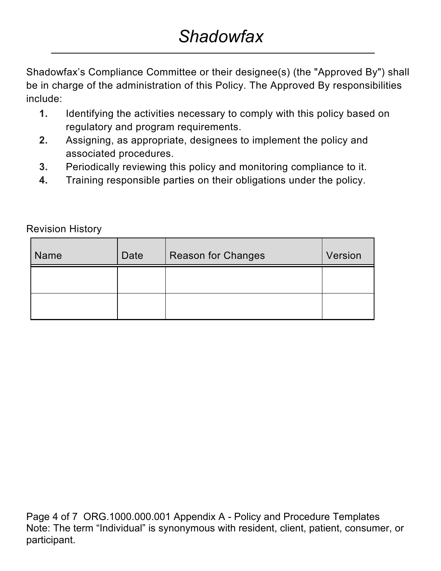Shadowfax's Compliance Committee or their designee(s) (the "Approved By") shall be in charge of the administration of this Policy. The Approved By responsibilities include:

- **1.** Identifying the activities necessary to comply with this policy based on regulatory and program requirements.
- **2.** Assigning, as appropriate, designees to implement the policy and associated procedures.
- **3.** Periodically reviewing this policy and monitoring compliance to it.
- **4.** Training responsible parties on their obligations under the policy.

| <b>Name</b> | Date | <b>Reason for Changes</b> | Version |
|-------------|------|---------------------------|---------|
|             |      |                           |         |
|             |      |                           |         |

Revision History

Page 4 of 7 ORG.1000.000.001 Appendix A - Policy and Procedure Templates Note: The term "Individual" is synonymous with resident, client, patient, consumer, or participant.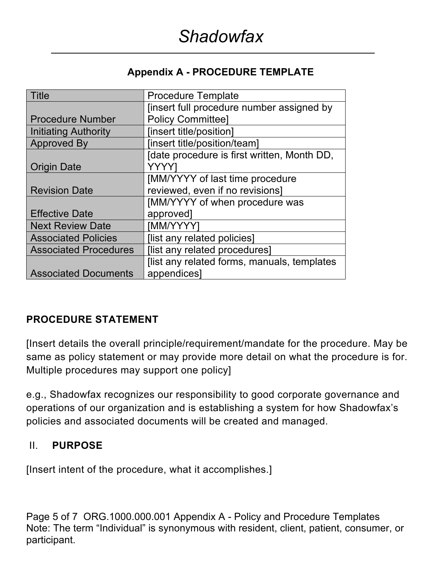#### **Appendix A - PROCEDURE TEMPLATE**

| <b>Title</b>                 | <b>Procedure Template</b>                   |
|------------------------------|---------------------------------------------|
|                              | [insert full procedure number assigned by   |
| <b>Procedure Number</b>      | <b>Policy Committee]</b>                    |
| <b>Initiating Authority</b>  | [insert title/position]                     |
| <b>Approved By</b>           | [insert title/position/team]                |
|                              | Idate procedure is first written, Month DD, |
| <b>Origin Date</b>           | YYYY                                        |
|                              | [MM/YYYY of last time procedure             |
| <b>Revision Date</b>         | reviewed, even if no revisions]             |
|                              | [MM/YYYY of when procedure was              |
| <b>Effective Date</b>        | approved]                                   |
| <b>Next Review Date</b>      | [MM/YYYY]                                   |
| <b>Associated Policies</b>   | [list any related policies]                 |
| <b>Associated Procedures</b> | [list any related procedures]               |
|                              | flist any related forms, manuals, templates |
| <b>Associated Documents</b>  | appendices]                                 |

## **PROCEDURE STATEMENT**

[Insert details the overall principle/requirement/mandate for the procedure. May be same as policy statement or may provide more detail on what the procedure is for. Multiple procedures may support one policy]

e.g., Shadowfax recognizes our responsibility to good corporate governance and operations of our organization and is establishing a system for how Shadowfax's policies and associated documents will be created and managed.

#### II. **PURPOSE**

[Insert intent of the procedure, what it accomplishes.]

Page 5 of 7 ORG.1000.000.001 Appendix A - Policy and Procedure Templates Note: The term "Individual" is synonymous with resident, client, patient, consumer, or participant.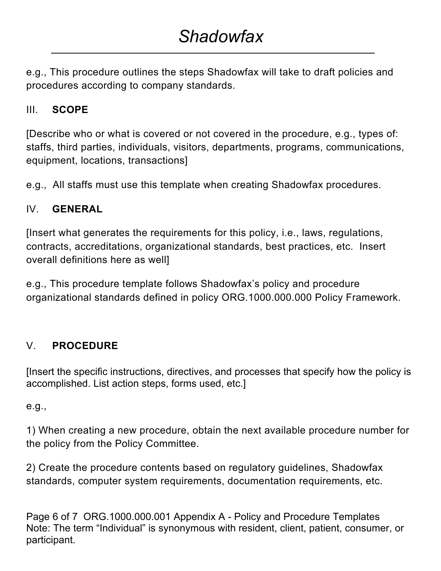e.g., This procedure outlines the steps Shadowfax will take to draft policies and procedures according to company standards.

## III. **SCOPE**

[Describe who or what is covered or not covered in the procedure, e.g., types of: staffs, third parties, individuals, visitors, departments, programs, communications, equipment, locations, transactions]

e.g., All staffs must use this template when creating Shadowfax procedures.

## IV. **GENERAL**

[Insert what generates the requirements for this policy, i.e., laws, regulations, contracts, accreditations, organizational standards, best practices, etc. Insert overall definitions here as well]

e.g., This procedure template follows Shadowfax's policy and procedure organizational standards defined in policy ORG.1000.000.000 Policy Framework.

# V. **PROCEDURE**

[Insert the specific instructions, directives, and processes that specify how the policy is accomplished. List action steps, forms used, etc.]

e.g.,

1) When creating a new procedure, obtain the next available procedure number for the policy from the Policy Committee.

2) Create the procedure contents based on regulatory guidelines, Shadowfax standards, computer system requirements, documentation requirements, etc.

Page 6 of 7 ORG.1000.000.001 Appendix A - Policy and Procedure Templates Note: The term "Individual" is synonymous with resident, client, patient, consumer, or participant.